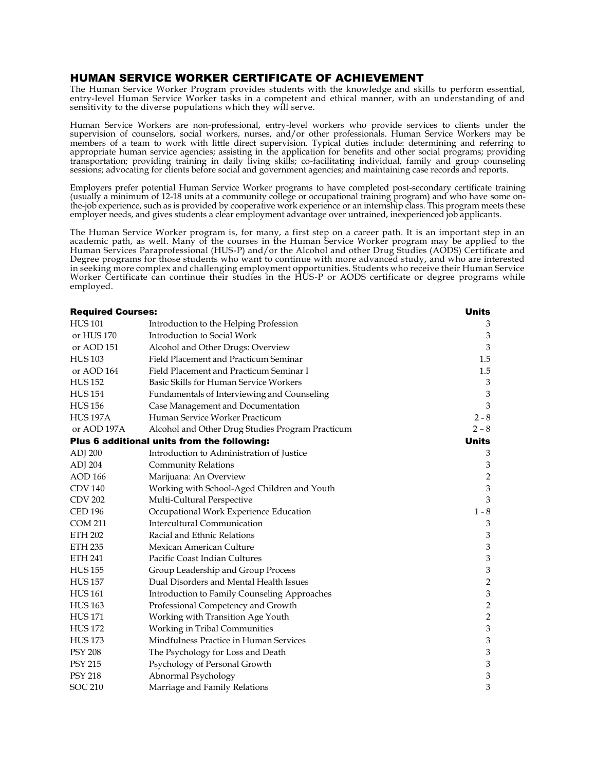## HUMAN SERVICE WORKER CERTIFICATE OF ACHIEVEMENT

The Human Service Worker Program provides students with the knowledge and skills to perform essential, entry-level Human Service Worker tasks in a competent and ethical manner, with an understanding of and sensitivity to the diverse populations which they will serve.

Human Service Workers are non-professional, entry-level workers who provide services to clients under the supervision of counselors, social workers, nurses, and/or other professionals. Human Service Workers may be members of a team to work with little direct supervision. Typical duties include: determining and referring to appropriate human service agencies; assisting in the application for benefits and other social programs; providing transportation; providing training in daily living skills; co-facilitating individual, family and group counseling sessions; advocating for clients before social and government agencies; and maintaining case records and reports.

Employers prefer potential Human Service Worker programs to have completed post-secondary certificate training (usually a minimum of 12-18 units at a community college or occupational training program) and who have some onthe-job experience, such as is provided by cooperative work experience or an internship class. This program meets these employer needs, and gives students a clear employment advantage over untrained, inexperienced job applicants.

The Human Service Worker program is, for many, a first step on a career path. It is an important step in an academic path, as well. Many of the courses in the Human Service Worker program may be applied to the Human Services Paraprofessional (HUS-P) and/or the Alcohol and other Drug Studies (AODS) Certificate and Degree programs for those students who want to continue with more advanced study, and who are interested in seeking more complex and challenging employment opportunities. Students who receive their Human Service Worker Certificate can continue their studies in the HUS-P or AODS certificate or degree programs while employed.

| <b>Required Courses:</b>                    |                                                  | <b>Units</b>              |
|---------------------------------------------|--------------------------------------------------|---------------------------|
| <b>HUS101</b>                               | Introduction to the Helping Profession           | 3                         |
| or HUS 170                                  | Introduction to Social Work                      | 3                         |
| or AOD 151                                  | Alcohol and Other Drugs: Overview                | 3                         |
| <b>HUS103</b>                               | Field Placement and Practicum Seminar            | 1.5                       |
| or AOD 164                                  | Field Placement and Practicum Seminar I          | 1.5                       |
| <b>HUS 152</b>                              | Basic Skills for Human Service Workers           | 3                         |
| <b>HUS 154</b>                              | Fundamentals of Interviewing and Counseling      | $\ensuremath{\mathbf{3}}$ |
| <b>HUS 156</b>                              | Case Management and Documentation                | 3                         |
| <b>HUS 197A</b>                             | Human Service Worker Practicum                   | $2 - 8$                   |
| or AOD 197A                                 | Alcohol and Other Drug Studies Program Practicum | $2 - 8$                   |
| Plus 6 additional units from the following: |                                                  | <b>Units</b>              |
| <b>ADJ 200</b>                              | Introduction to Administration of Justice        | 3                         |
| ADJ 204                                     | <b>Community Relations</b>                       | 3                         |
| <b>AOD 166</b>                              | Marijuana: An Overview                           | $\overline{2}$            |
| <b>CDV 140</b>                              | Working with School-Aged Children and Youth      | 3                         |
| <b>CDV 202</b>                              | Multi-Cultural Perspective                       | 3                         |
| <b>CED 196</b>                              | Occupational Work Experience Education           | $1 - 8$                   |
| <b>COM 211</b>                              | Intercultural Communication                      | 3                         |
| <b>ETH 202</b>                              | Racial and Ethnic Relations                      | 3                         |
| <b>ETH 235</b>                              | Mexican American Culture                         | 3                         |
| <b>ETH 241</b>                              | Pacific Coast Indian Cultures                    | $\ensuremath{\mathbf{3}}$ |
| <b>HUS 155</b>                              | Group Leadership and Group Process               | $\mathfrak{Z}$            |
| <b>HUS 157</b>                              | Dual Disorders and Mental Health Issues          | $\overline{2}$            |
| <b>HUS161</b>                               | Introduction to Family Counseling Approaches     | $\ensuremath{\mathbf{3}}$ |
| <b>HUS 163</b>                              | Professional Competency and Growth               | $\sqrt{2}$                |
| <b>HUS171</b>                               | Working with Transition Age Youth                | $\overline{2}$            |
| <b>HUS172</b>                               | Working in Tribal Communities                    | $\ensuremath{\mathsf{3}}$ |
| <b>HUS 173</b>                              | Mindfulness Practice in Human Services           | $\ensuremath{\mathbf{3}}$ |
| <b>PSY 208</b>                              | The Psychology for Loss and Death                | 3                         |
| <b>PSY 215</b>                              | Psychology of Personal Growth                    | 3                         |
| <b>PSY 218</b>                              | Abnormal Psychology                              | 3                         |
| <b>SOC 210</b>                              | Marriage and Family Relations                    | 3                         |